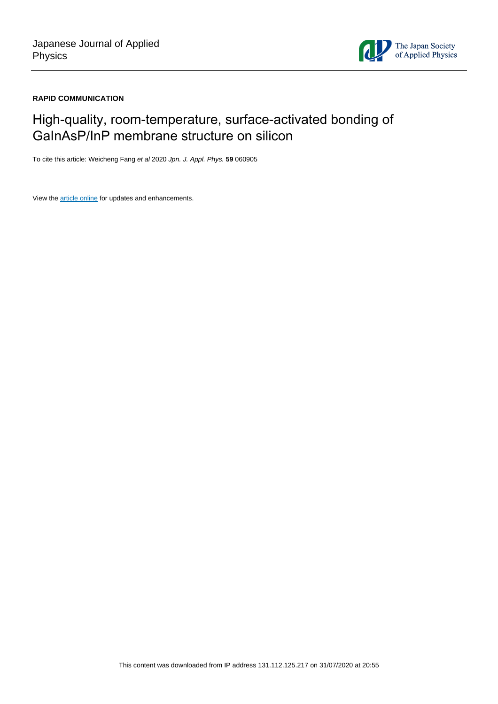

## **RAPID COMMUNICATION**

## High-quality, room-temperature, surface-activated bonding of GaInAsP/InP membrane structure on silicon

To cite this article: Weicheng Fang et al 2020 Jpn. J. Appl. Phys. **59** 060905

View the [article online](https://doi.org/10.35848/1347-4065/ab958a) for updates and enhancements.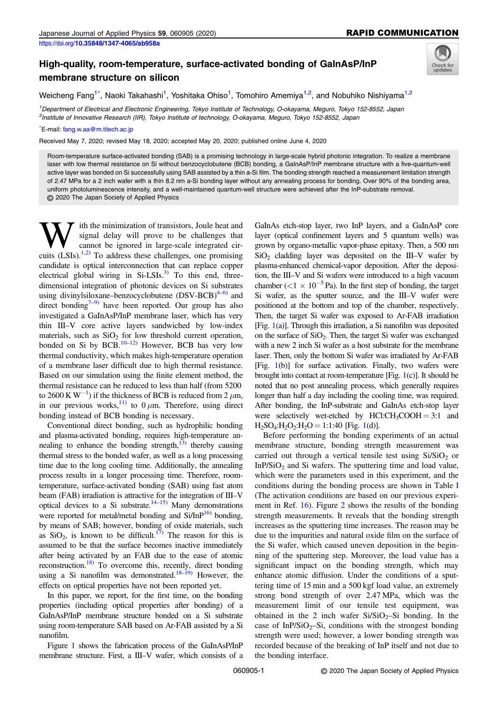## High-quality, room-temperature, surface-activated bonding of GaInAsP/InP membrane structure on silicon



Weicheng Fang<sup>1\*</sup>, Naoki Takahashi<sup>1</sup>, Yoshitaka Ohiso<sup>1</sup>, Tomohiro Amemiya<sup>1,2</sup>, and Nobuhiko Nishiyama<sup>1,2</sup>

1 Department of Electrical and Electronic Engineering, Tokyo Institute of Technology, O-okayama, Meguro, Tokyo 152-8552, Japan 2 Institute of Innovative Research (IIR), Tokyo Institute of technology, O-okayama, Meguro, Tokyo 152-8552, Japan

## \* E-mail: [fang.w.aa@m.titech.ac.jp](mailto:fang.w.aa@m.titech.ac.jp)

Received May 7, 2020; revised May 18, 2020; accepted May 20, 2020; published online June 4, 2020

Room-temperature surface-activated bonding (SAB) is a promising technology in large-scale hybrid photonic integration. To realize a membrane laser with low thermal resistance on Si without benzocyclobutene (BCB) bonding, a GaInAsP/InP membrane structure with a five-quantum-well active layer was bonded on Si successfully using SAB assisted by a thin a-Si film. The bonding strength reached a measurement limitation strength of 2.47 MPa for a 2 inch wafer with a thin 8.2 nm a-Si bonding layer without any annealing process for bonding. Over 90% of the bonding area, uniform photoluminescence intensity, and a well-maintained quantum-well structure were achieved after the InP-substrate removal. © 2020 The Japan Society of Applied Physics

 $\sum_{\text{signal}}$  ith the minimization of transistors, Joule heat and signal delay will prove to be challenges that cannot be ignored in large-scale integrated circuits (LSIs)  $^{1,2}$ ). To address these challenges one promising signal delay will prove to be challenges that cannot be ignored in large-scale integrated circuits  $(LSIs).<sup>1,2</sup>$  To address these challenges, one promising candidate is optical interconnection that can replace copper electrical global wiring in  $Si-LSIs.<sup>3</sup>$  $Si-LSIs.<sup>3</sup>$  $Si-LSIs.<sup>3</sup>$  To this end, threedimensional integration of photonic devices on Si substrates using divinylsiloxane–benzocyclobutene  $(DSV-BCB)^{4-6}$  and direct bonding<sup>7–[9](#page-5-0))</sup> have been reported. Our group has also investigated a GaInAsP/InP membrane laser, which has very thin III–V core active layers sandwiched by low-index materials, such as  $SiO<sub>2</sub>$  for low threshold current operation, bonded on Si by BCB.<sup>10–[12](#page-5-0))</sup> However, BCB has very low thermal conductivity, which makes high-temperature operation of a membrane laser difficult due to high thermal resistance. Based on our simulation using the finite element method, the thermal resistance can be reduced to less than half (from 5200 to 2600 K W<sup>-1</sup>) if the thickness of BCB is reduced from 2  $\mu$ m, in our previous works,<sup>11)</sup> to 0  $\mu$ m. Therefore, using direct bonding instead of BCB bonding is necessary.

Conventional direct bonding, such as hydrophilic bonding and plasma-activated bonding, requires high-temperature annealing to enhance the bonding strength, $13$ ) thereby causing thermal stress to the bonded wafer, as well as a long processing time due to the long cooling time. Additionally, the annealing process results in a longer processing time. Therefore, roomtemperature, surface-activated bonding (SAB) using fast atom beam (FAB) irradiation is attractive for the integration of III–V optical devices to a Si substrate.<sup>14–[15](#page-5-0)</sup>) Many demonstrations were reported for metal/metal bonding and Si/InP<sup>16)</sup> bonding, by means of SAB; however, bonding of oxide materials, such as  $SiO<sub>2</sub>$ , is known to be difficult.<sup>17)</sup> The reason for this is assumed to be that the surface becomes inactive immediately after being activated by an FAB due to the ease of atomic reconstruction.<sup>18)</sup> To overcome this, recently, direct bonding using a Si nanofilm was demonstrated.<sup>18–[19\)](#page-5-0)</sup> However, the effects on optical properties have not been reported yet.

In this paper, we report, for the first time, on the bonding properties (including optical properties after bonding) of a GaInAsP/InP membrane structure bonded on a Si substrate using room-temperature SAB based on Ar-FAB assisted by a Si nanofilm.

Figure [1](#page-2-0) shows the fabrication process of the GaInAsP/InP membrane structure. First, a III–V wafer, which consists of a

GaInAs etch-stop layer, two InP layers, and a GaInAsP core layer (optical confinement layers and 5 quantum wells) was grown by organo-metallic vapor-phase epitaxy. Then, a 500 nm  $SiO<sub>2</sub>$  cladding layer was deposited on the III–V wafer by plasma-enhanced chemical-vapor deposition. After the deposition, the III–V and Si wafers were introduced to a high vacuum chamber ( $\langle 1 \times 10^{-5}$  Pa). In the first step of bonding, the target Si wafer, as the sputter source, and the III–V wafer were positioned at the bottom and top of the chamber, respectively. Then, the target Si wafer was exposed to Ar-FAB irradiation [Fig. [1\(](#page-2-0)a)]. Through this irradiation, a Si nanofilm was deposited on the surface of  $SiO<sub>2</sub>$ . Then, the target Si wafer was exchanged with a new 2 inch Si wafer as a host substrate for the membrane laser. Then, only the bottom Si wafer was irradiated by Ar-FAB [Fig. [1](#page-2-0)(b)] for surface activation. Finally, two wafers were brought into contact at room-temperature [Fig.  $1(c)$  $1(c)$ ]. It should be noted that no post annealing process, which generally requires longer than half a day including the cooling time, was required. After bonding, the InP-substrate and GaInAs etch-stop layer were selectively wet-etched by  $HCl:CH_3COOH = 3:1$  and  $H_2SO_4:H_2O_2:H_2O = 1:1:40$  $H_2SO_4:H_2O_2:H_2O = 1:1:40$  $H_2SO_4:H_2O_2:H_2O = 1:1:40$  [Fig. 1(d)].

Before performing the bonding experiments of an actual membrane structure, bonding strength measurement was carried out through a vertical tensile test using  $Si/SiO<sub>2</sub>$  or  $InP/SiO<sub>2</sub>$  and Si wafers. The sputtering time and load value, which were the parameters used in this experiment, and the conditions during the bonding process are shown in Table [I](#page-2-0) (The activation conditions are based on our previous experiment in Ref. [16](#page-5-0)). Figure [2](#page-2-0) shows the results of the bonding strength measurements. It reveals that the bonding strength increases as the sputtering time increases. The reason may be due to the impurities and natural oxide film on the surface of the Si wafer, which caused uneven deposition in the beginning of the sputtering step. Moreover, the load value has a significant impact on the bonding strength, which may enhance atomic diffusion. Under the conditions of a sputtering time of 15 min and a 500 kgf load value, an extremely strong bond strength of over 2.47 MPa, which was the measurement limit of our tensile test equipment, was obtained in the 2 inch wafer  $Si/SiO<sub>2</sub>-Si$  bonding. In the case of InP/SiO<sub>2</sub>–Si, conditions with the strongest bonding strength were used; however, a lower bonding strength was recorded because of the breaking of InP itself and not due to the bonding interface.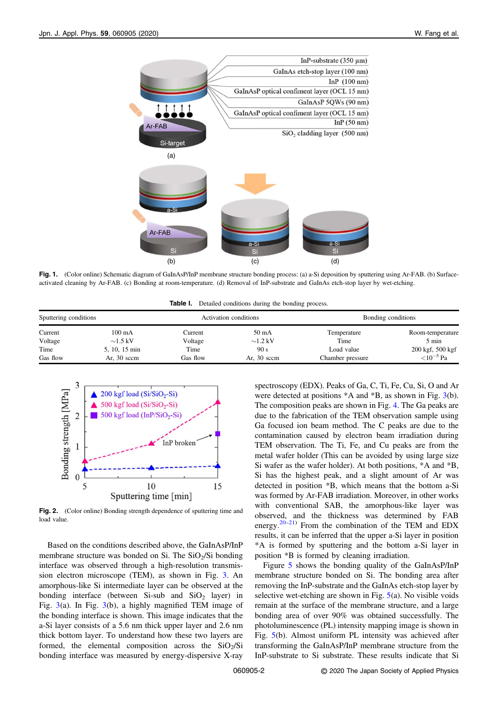<span id="page-2-0"></span>

Fig. 1. (Color online) Schematic diagram of GaInAsP/InP membrane structure bonding process: (a) a-Si deposition by sputtering using Ar-FAB. (b) Surfaceactivated cleaning by Ar-FAB. (c) Bonding at room-temperature. (d) Removal of InP-substrate and GaInAs etch-stop layer by wet-etching.

Table I. Detailed conditions during the bonding process.

| Sputtering conditions |                  | Activation conditions |               | Bonding conditions |                  |
|-----------------------|------------------|-----------------------|---------------|--------------------|------------------|
| Current               | $100 \text{ mA}$ | Current               | 50 mA         | Temperature        | Room-temperature |
| Voltage               | $\sim$ 1.5 kV    | Voltage               | $\sim$ 1.2 kV | Time               | 5 min            |
| Time                  | 5, 10, 15 min    | Time                  | 90 s          | Load value         | 200 kgf, 500 kgf |
| Gas flow              | Ar, $30$ sccm    | Gas flow              | Ar, $30$ sccm | Chamber pressure   | ${<}10^{-5}$ Pa  |



Fig. 2. (Color online) Bonding strength dependence of sputtering time and load value.

Based on the conditions described above, the GaInAsP/InP membrane structure was bonded on Si. The  $SiO<sub>2</sub>/Si$  bonding interface was observed through a high-resolution transmission electron microscope (TEM), as shown in Fig. [3](#page-3-0). An amorphous-like Si intermediate layer can be observed at the bonding interface (between Si-sub and  $SiO<sub>2</sub>$  layer) in Fig.  $3(a)$  $3(a)$ . In Fig.  $3(b)$  $3(b)$ , a highly magnified TEM image of the bonding interface is shown. This image indicates that the a-Si layer consists of a 5.6 nm thick upper layer and 2.6 nm thick bottom layer. To understand how these two layers are formed, the elemental composition across the  $SiO<sub>2</sub>/Si$ bonding interface was measured by energy-dispersive X-ray

spectroscopy (EDX). Peaks of Ga, C, Ti, Fe, Cu, Si, O and Ar were detected at positions  $*A$  and  $*B$ , as shown in Fig. [3](#page-3-0)(b). The composition peaks are shown in Fig. [4.](#page-4-0) The Ga peaks are due to the fabrication of the TEM observation sample using Ga focused ion beam method. The C peaks are due to the contamination caused by electron beam irradiation during TEM observation. The Ti, Fe, and Cu peaks are from the metal wafer holder (This can be avoided by using large size Si wafer as the wafer holder). At both positions, \*A and \*B, Si has the highest peak, and a slight amount of Ar was detected in position \*B, which means that the bottom a-Si was formed by Ar-FAB irradiation. Moreover, in other works with conventional SAB, the amorphous-like layer was observed, and the thickness was determined by FAB energy.<sup>[20](#page-5-0)–[21\)](#page-5-0)</sup> From the combination of the TEM and EDX results, it can be inferred that the upper a-Si layer in position \*A is formed by sputtering and the bottom a-Si layer in position \*B is formed by cleaning irradiation.

Figure [5](#page-4-0) shows the bonding quality of the GaInAsP/InP membrane structure bonded on Si. The bonding area after removing the InP-substrate and the GaInAs etch-stop layer by selective wet-etching are shown in Fig.  $5(a)$  $5(a)$ . No visible voids remain at the surface of the membrane structure, and a large bonding area of over 90% was obtained successfully. The photoluminescence (PL) intensity mapping image is shown in Fig. [5\(](#page-4-0)b). Almost uniform PL intensity was achieved after transforming the GaInAsP/InP membrane structure from the InP-substrate to Si substrate. These results indicate that Si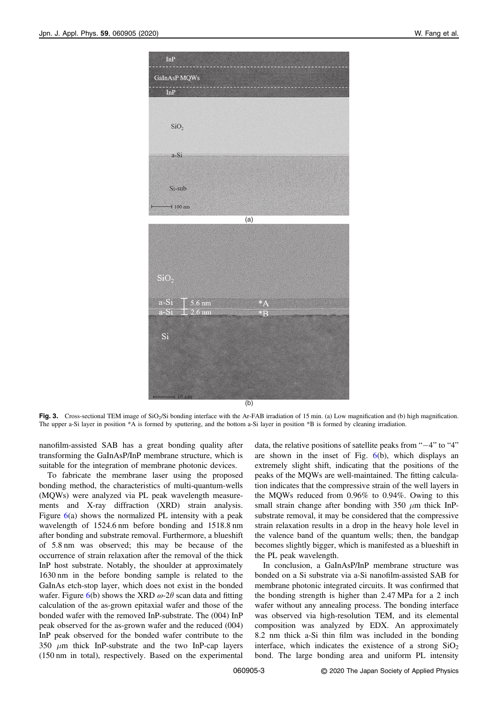<span id="page-3-0"></span>

Fig. 3. Cross-sectional TEM image of SiO<sub>2</sub>/Si bonding interface with the Ar-FAB irradiation of 15 min. (a) Low magnification and (b) high magnification. The upper a-Si layer in position \*A is formed by sputtering, and the bottom a-Si layer in position \*B is formed by cleaning irradiation.

nanofilm-assisted SAB has a great bonding quality after transforming the GaInAsP/InP membrane structure, which is suitable for the integration of membrane photonic devices.

To fabricate the membrane laser using the proposed bonding method, the characteristics of multi-quantum-wells (MQWs) were analyzed via PL peak wavelength measurements and X-ray diffraction (XRD) strain analysis. Figure  $6(a)$  $6(a)$  shows the normalized PL intensity with a peak wavelength of 1524.6 nm before bonding and 1518.8 nm after bonding and substrate removal. Furthermore, a blueshift of 5.8 nm was observed; this may be because of the occurrence of strain relaxation after the removal of the thick InP host substrate. Notably, the shoulder at approximately 1630 nm in the before bonding sample is related to the GaInAs etch-stop layer, which does not exist in the bonded wafer. Figure [6\(](#page-5-0)b) shows the XRD  $\omega$ -2 $\theta$  scan data and fitting calculation of the as-grown epitaxial wafer and those of the bonded wafer with the removed InP-substrate. The (004) InP peak observed for the as-grown wafer and the reduced (004) InP peak observed for the bonded wafer contribute to the 350  $\mu$ m thick InP-substrate and the two InP-cap layers (150 nm in total), respectively. Based on the experimental data, the relative positions of satellite peaks from "−4" to "4" are shown in the inset of Fig. [6\(](#page-5-0)b), which displays an extremely slight shift, indicating that the positions of the peaks of the MQWs are well-maintained. The fitting calculation indicates that the compressive strain of the well layers in the MQWs reduced from 0.96% to 0.94%. Owing to this small strain change after bonding with 350  $\mu$ m thick InPsubstrate removal, it may be considered that the compressive strain relaxation results in a drop in the heavy hole level in the valence band of the quantum wells; then, the bandgap becomes slightly bigger, which is manifested as a blueshift in the PL peak wavelength.

In conclusion, a GaInAsP/InP membrane structure was bonded on a Si substrate via a-Si nanofilm-assisted SAB for membrane photonic integrated circuits. It was confirmed that the bonding strength is higher than 2.47 MPa for a 2 inch wafer without any annealing process. The bonding interface was observed via high-resolution TEM, and its elemental composition was analyzed by EDX. An approximately 8.2 nm thick a-Si thin film was included in the bonding interface, which indicates the existence of a strong  $SiO<sub>2</sub>$ bond. The large bonding area and uniform PL intensity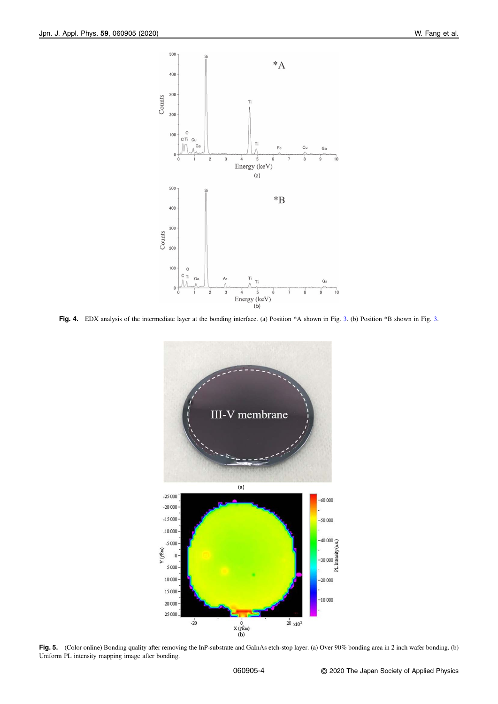<span id="page-4-0"></span>

Fig. 4. EDX analysis of the intermediate layer at the bonding interface. (a) Position \*A shown in Fig. [3.](#page-3-0) (b) Position \*B shown in Fig. 3.



Fig. 5. (Color online) Bonding quality after removing the InP-substrate and GaInAs etch-stop layer. (a) Over 90% bonding area in 2 inch wafer bonding. (b) Uniform PL intensity mapping image after bonding.